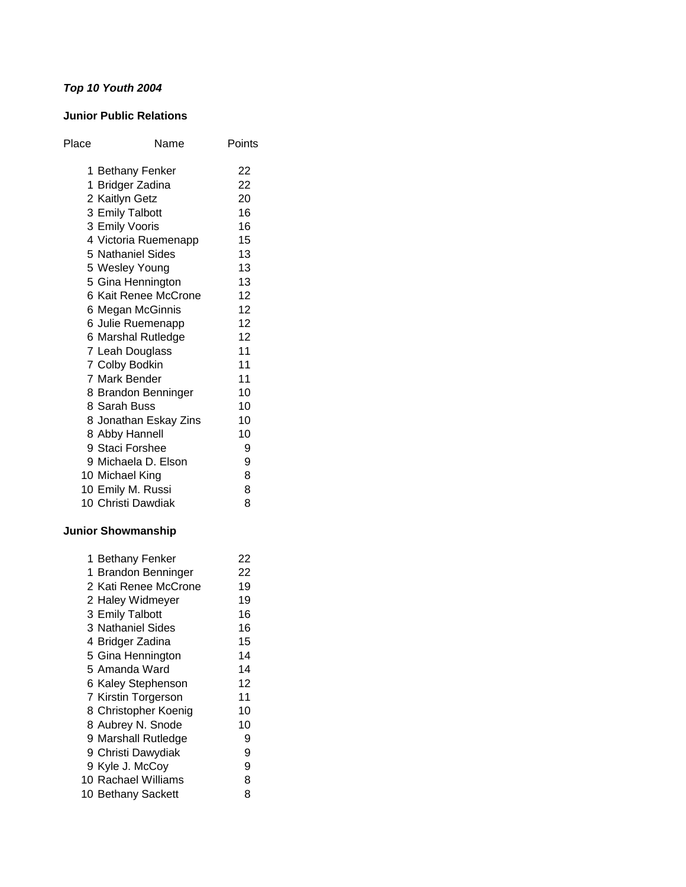# *Top 10 Youth 2004*

### **Junior Public Relations**

| Place | Name                  | Points |
|-------|-----------------------|--------|
|       | 1 Bethany Fenker      | 22     |
|       | 1 Bridger Zadina      | 22     |
|       | 2 Kaitlyn Getz        | 20     |
|       | 3 Emily Talbott       | 16     |
|       | 3 Emily Vooris        | 16     |
|       | 4 Victoria Ruemenapp  | 15     |
|       | 5 Nathaniel Sides     | 13     |
|       | 5 Wesley Young        | 13     |
|       | 5 Gina Hennington     | 13     |
|       | 6 Kait Renee McCrone  | 12     |
|       | 6 Megan McGinnis      | 12     |
|       | 6 Julie Ruemenapp     | 12     |
|       | 6 Marshal Rutledge    | 12     |
|       | 7 Leah Douglass       | 11     |
|       | 7 Colby Bodkin        | 11     |
|       | 7 Mark Bender         | 11     |
|       | 8 Brandon Benninger   | 10     |
|       | 8 Sarah Buss          | 10     |
|       | 8 Jonathan Eskay Zins | 10     |
|       | 8 Abby Hannell        | 10     |
|       | 9 Staci Forshee       | 9      |
|       | 9 Michaela D. Elson   | 9      |
|       | 10 Michael King       | 8      |
|       | 10 Emily M. Russi     | 8      |
|       | 10 Christi Dawdiak    | 8      |
|       |                       |        |

# **Junior Showmanship**

| 1 Bethany Fenker     | 22 |
|----------------------|----|
| 1 Brandon Benninger  | 22 |
| 2 Kati Renee McCrone | 19 |
| 2 Haley Widmeyer     | 19 |
| 3 Emily Talbott      | 16 |
| 3 Nathaniel Sides    | 16 |
| 4 Bridger Zadina     | 15 |
| 5 Gina Hennington    | 14 |
| 5 Amanda Ward        | 14 |
| 6 Kaley Stephenson   | 12 |
| 7 Kirstin Torgerson  | 11 |
| 8 Christopher Koenig | 10 |
| 8 Aubrey N. Snode    | 10 |
| 9 Marshall Rutledge  | 9  |
| 9 Christi Dawydiak   | 9  |
| 9 Kyle J. McCoy      | 9  |
| 10 Rachael Williams  | 8  |
| 10 Bethany Sackett   | 8  |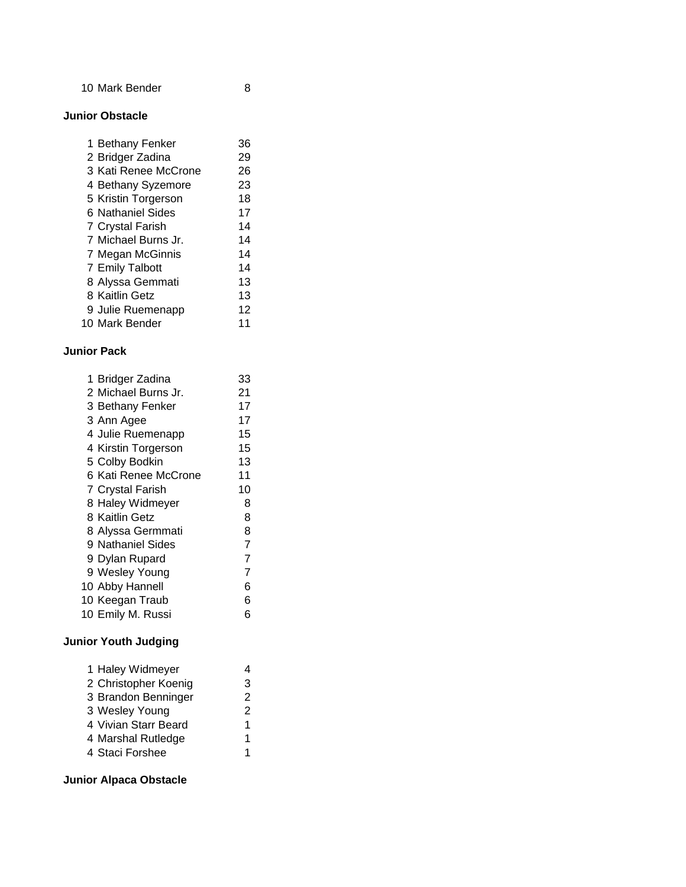10 Mark Bender 8

#### **Junior Obstacle**

| 1 Bethany Fenker        | 36 |
|-------------------------|----|
| 2 Bridger Zadina        | 29 |
| 3 Kati Renee McCrone    | 26 |
| 4 Bethany Syzemore      | 23 |
| 5 Kristin Torgerson     | 18 |
| 6 Nathaniel Sides       | 17 |
| <b>7 Crystal Farish</b> | 14 |
| 7 Michael Burns Jr.     | 14 |
| 7 Megan McGinnis        | 14 |
| 7 Emily Talbott         | 14 |
| 8 Alyssa Gemmati        | 13 |
| 8 Kaitlin Getz          | 13 |
| 9 Julie Ruemenapp       | 12 |
| 10 Mark Bender          |    |

### **Junior Pack**

| 1 Bridger Zadina     | 33 |
|----------------------|----|
| 2 Michael Burns Jr.  | 21 |
| 3 Bethany Fenker     | 17 |
| 3 Ann Agee           | 17 |
| 4 Julie Ruemenapp    | 15 |
| 4 Kirstin Torgerson  | 15 |
| 5 Colby Bodkin       | 13 |
| 6 Kati Renee McCrone | 11 |
| 7 Crystal Farish     | 10 |
| 8 Haley Widmeyer     | 8  |
| 8 Kaitlin Getz       | 8  |
| 8 Alyssa Germmati    | 8  |
| 9 Nathaniel Sides    | 7  |
| 9 Dylan Rupard       | 7  |
| 9 Wesley Young       | 7  |
| 10 Abby Hannell      | 6  |
| 10 Keegan Traub      | 6  |
| 10 Emily M. Russi    | 6  |
|                      |    |

# **Junior Youth Judging**

| 2 Christopher Koenig<br>3 Brandon Benninger<br>3 Wesley Young<br>4 Vivian Starr Beard<br>4 Marshal Rutledge<br>4 Staci Forshee | 1 Haley Widmeyer | 4 |
|--------------------------------------------------------------------------------------------------------------------------------|------------------|---|
|                                                                                                                                |                  | 3 |
|                                                                                                                                |                  | 2 |
|                                                                                                                                |                  | 2 |
|                                                                                                                                |                  | 1 |
|                                                                                                                                |                  | 1 |
|                                                                                                                                |                  | 1 |

# **Junior Alpaca Obstacle**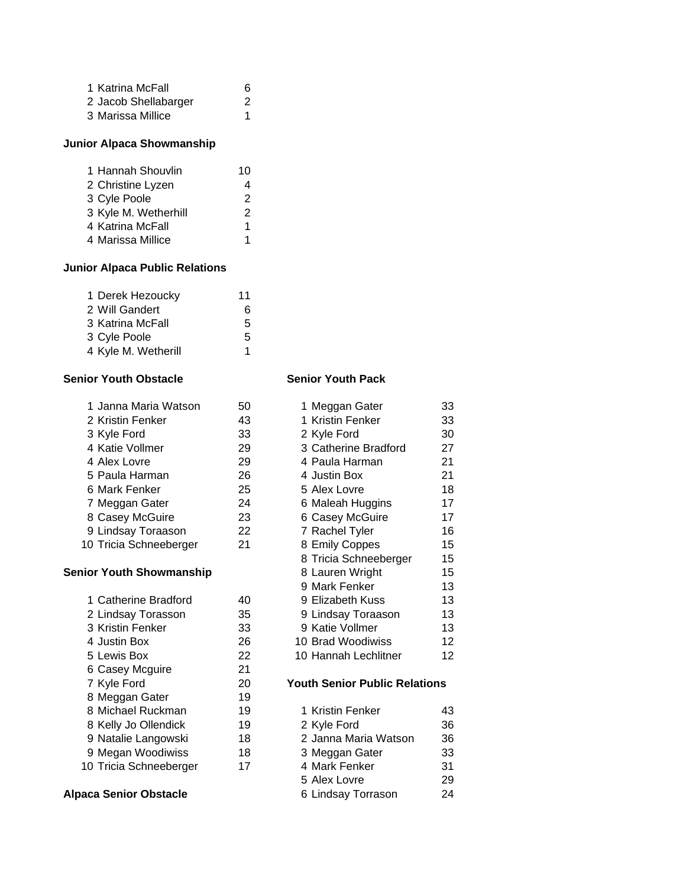| 1 Katrina McFall     | 6 |
|----------------------|---|
| 2 Jacob Shellabarger | 2 |
| 3 Marissa Millice    |   |

# **Junior Alpaca Showmanship**

| 1 Hannah Shouvlin    | 10 |
|----------------------|----|
| 2 Christine Lyzen    | 4  |
| 3 Cyle Poole         | 2  |
| 3 Kyle M. Wetherhill | 2  |
| 4 Katrina McFall     | 1  |
| 4 Marissa Millice    |    |

# **Junior Alpaca Public Relations**

| 1 Derek Hezoucky    | 11 |
|---------------------|----|
| 2 Will Gandert      | 6  |
| 3 Katrina McFall    | 5  |
| 3 Cyle Poole        | 5  |
| 4 Kyle M. Wetherill | 1  |

#### **Senior Youth Obstacle Senior Youth Pack**

| 1 Janna Maria Watson   | 50 | 1 Meggan Gater       | 33 |
|------------------------|----|----------------------|----|
| 2 Kristin Fenker       | 43 | 1 Kristin Fenker     | 33 |
| 3 Kyle Ford            | 33 | 2 Kyle Ford          | 30 |
| 4 Katie Vollmer        | 29 | 3 Catherine Bradford | 27 |
| 4 Alex Lovre           | 29 | 4 Paula Harman       | 21 |
| 5 Paula Harman         | 26 | 4 Justin Box         | 21 |
| 6 Mark Fenker          | 25 | 5 Alex Lovre         | 18 |
| 7 Meggan Gater         | 24 | 6 Maleah Huggins     | 17 |
| 8 Casey McGuire        | 23 | 6 Casey McGuire      | 17 |
| 9 Lindsay Toraason     | 22 | 7 Rachel Tyler       | 16 |
| 10 Tricia Schneeberger | 21 | 8 Emily Coppes       | 15 |

#### **Senior Youth Showmanship**

| 1 Catherine Bradford   | 40 |
|------------------------|----|
| 2 Lindsay Torasson     | 35 |
| 3 Kristin Fenker       | 33 |
| 4 Justin Box           | 26 |
| 5 Lewis Box            | 22 |
| 6 Casey Mcguire        | 21 |
| 7 Kyle Ford            | 20 |
| 8 Meggan Gater         | 19 |
| 8 Michael Ruckman      | 19 |
| 8 Kelly Jo Ollendick   | 19 |
| 9 Natalie Langowski    | 18 |
| 9 Megan Woodiwiss      | 18 |
| 10 Tricia Schneeberger | 17 |
|                        |    |

### **Alpaca Senior Obstacle**

| 2 Kristin Fenker       | 43 | 1 Kristin Fenker      | 33 |
|------------------------|----|-----------------------|----|
| 3 Kyle Ford            | 33 | 2 Kyle Ford           | 30 |
| 4 Katie Vollmer        | 29 | 3 Catherine Bradford  | 27 |
| 4 Alex Lovre           | 29 | 4 Paula Harman        | 21 |
| 5 Paula Harman         | 26 | 4 Justin Box          | 21 |
| 6 Mark Fenker          | 25 | 5 Alex Lovre          | 18 |
| 7 Meggan Gater         | 24 | 6 Maleah Huggins      | 17 |
| 8 Casey McGuire        | 23 | 6 Casey McGuire       | 17 |
| 9 Lindsay Toraason     | 22 | 7 Rachel Tyler        | 16 |
| 10 Tricia Schneeberger | 21 | 8 Emily Coppes        | 15 |
|                        |    | 8 Tricia Schneeberger | 15 |
| iior Youth Showmanship |    | 8 Lauren Wright       | 15 |
|                        |    | 9 Mark Fenker         | 13 |
| 1 Catherine Bradford   | 40 | 9 Elizabeth Kuss      | 13 |
| 2 Lindsay Torasson     | 35 | 9 Lindsay Toraason    | 13 |
| 3 Kristin Fenker       | 33 | 9 Katie Vollmer       | 13 |
| 4 Justin Box           | 26 | 10 Brad Woodiwiss     | 12 |
| 5 Lewis Box            | 22 | 10 Hannah Lechlitner  | 12 |
|                        |    |                       |    |

1 Meggan Gater 33

#### **20 Youth Senior Public Relations**

| 8 Michael Ruckman      | 19 | 1 Kristin Fenker     | 43 |
|------------------------|----|----------------------|----|
| 8 Kelly Jo Ollendick   | 19 | 2 Kyle Ford          | 36 |
| 9 Natalie Langowski    | 18 | 2 Janna Maria Watson | 36 |
| 9 Megan Woodiwiss      | 18 | 3 Meggan Gater       | 33 |
| 10 Tricia Schneeberger | 17 | 4 Mark Fenker        | 31 |
|                        |    | 5 Alex Lovre         | 29 |
| aca Senior Obstacle    |    | 6 Lindsay Torrason   | 24 |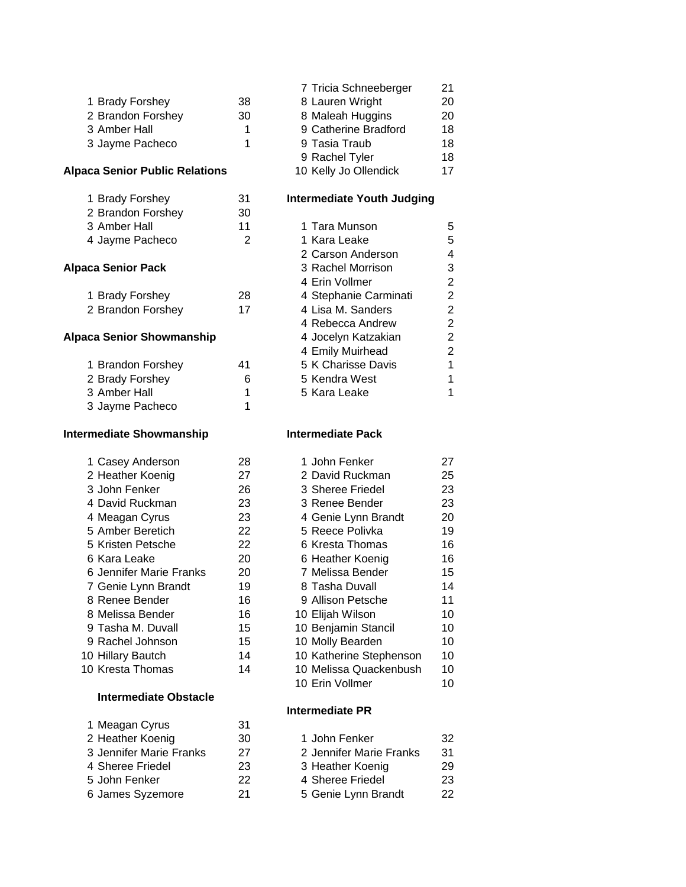|                                       |    | 7 Tricia Schneeberger             | 21             |
|---------------------------------------|----|-----------------------------------|----------------|
| 1 Brady Forshey                       | 38 | 8 Lauren Wright                   | 20             |
| 2 Brandon Forshey                     | 30 | 8 Maleah Huggins                  | 20             |
| 3 Amber Hall                          | 1  | 9 Catherine Bradford              | 18             |
| 3 Jayme Pacheco                       | 1  | 9 Tasia Traub                     | 18             |
|                                       |    | 9 Rachel Tyler                    | 18             |
| <b>Alpaca Senior Public Relations</b> |    | 10 Kelly Jo Ollendick             | 17             |
| 1 Brady Forshey                       | 31 | <b>Intermediate Youth Judging</b> |                |
| 2 Brandon Forshey                     | 30 |                                   |                |
| 3 Amber Hall                          | 11 | 1 Tara Munson                     | 5              |
| 4 Jayme Pacheco                       | 2  | 1 Kara Leake                      | 5              |
|                                       |    | 2 Carson Anderson                 | 4              |
| <b>Alpaca Senior Pack</b>             |    | 3 Rachel Morrison                 | 3              |
|                                       |    | 4 Erin Vollmer                    | $\overline{c}$ |
| 1 Brady Forshey                       | 28 | 4 Stephanie Carminati             | $\overline{c}$ |
| 2 Brandon Forshey                     | 17 | 4 Lisa M. Sanders                 | $\overline{2}$ |
|                                       |    | 4 Rebecca Andrew                  | $\overline{2}$ |
| <b>Alpaca Senior Showmanship</b>      |    | 4 Jocelyn Katzakian               | $\overline{c}$ |
|                                       |    | 4 Emily Muirhead                  | $\overline{c}$ |
| 1 Brandon Forshey                     | 41 | 5 K Charisse Davis                | $\overline{1}$ |
| 2 Brady Forshey                       | 6  | 5 Kendra West                     | $\overline{1}$ |
| 3 Amber Hall                          | 1  | 5 Kara Leake                      | $\mathbf{1}$   |
| 3 Jayme Pacheco                       | 1  |                                   |                |
| <b>Intermediate Showmanship</b>       |    | <b>Intermediate Pack</b>          |                |
| 1 Casey Anderson                      | 28 | 1 John Fenker                     | 27             |
| 2 Heather Koenig                      | 27 | 2 David Ruckman                   | 25             |
| 3 John Fenker                         | 26 | 3 Sheree Friedel                  | 23             |
| 4 David Ruckman                       | 23 | 3 Renee Bender                    | 23             |
| 4 Meagan Cyrus                        | 23 | 4 Genie Lynn Brandt               | 20             |
| 5 Amber Beretich                      | 22 | 5 Reece Polivka                   | 19             |
| 5 Kristen Petsche                     | 22 | 6 Kresta Thomas                   | 16             |

# **Intermediate Obstacle**

| 1 Meagan Cyrus          | 31 |
|-------------------------|----|
| 2 Heather Koenig        | 30 |
| 3 Jennifer Marie Franks | 27 |
| 4 Sheree Friedel        | 23 |
| 5 John Fenker           | 22 |
| 6 James Syzemore        | 21 |

| 7 Tricia Schneeberger | 21 |
|-----------------------|----|
| 8 Lauren Wright       | 20 |
| 8 Maleah Huggins      | 20 |
| 9 Catherine Bradford  | 18 |
| 9 Tasia Traub         | 18 |
| 9 Rachel Tyler        | 18 |
| 10 Kelly Jo Ollendick | 17 |

### **Intermediate Youth Judging**

| 1 Tara Munson         |   |
|-----------------------|---|
| 1 Kara Leake          | 5 |
| 2 Carson Anderson     | 4 |
| 3 Rachel Morrison     | 3 |
| 4 Erin Vollmer        | 2 |
| 4 Stephanie Carminati | 2 |
| 4 Lisa M. Sanders     | 2 |
| 4 Rebecca Andrew      | 2 |
| 4 Jocelyn Katzakian   | 2 |
| 4 Emily Muirhead      | 2 |
| 5 K Charisse Davis    |   |
| 5 Kendra West         |   |
| 5 Kara Leake          |   |
|                       |   |

| 1 Casey Anderson        | 28 | 1 John Fenker           | 27 |
|-------------------------|----|-------------------------|----|
| 2 Heather Koenig        | 27 | 2 David Ruckman         | 25 |
| 3 John Fenker           | 26 | 3 Sheree Friedel        | 23 |
| 4 David Ruckman         | 23 | 3 Renee Bender          | 23 |
| 4 Meagan Cyrus          | 23 | 4 Genie Lynn Brandt     | 20 |
| 5 Amber Beretich        | 22 | 5 Reece Polivka         | 19 |
| 5 Kristen Petsche       | 22 | 6 Kresta Thomas         | 16 |
| 6 Kara Leake            | 20 | 6 Heather Koenig        | 16 |
| 6 Jennifer Marie Franks | 20 | 7 Melissa Bender        | 15 |
| 7 Genie Lynn Brandt     | 19 | 8 Tasha Duvall          | 14 |
| 8 Renee Bender          | 16 | 9 Allison Petsche       | 11 |
| 8 Melissa Bender        | 16 | 10 Elijah Wilson        | 10 |
| 9 Tasha M. Duvall       | 15 | 10 Benjamin Stancil     | 10 |
| 9 Rachel Johnson        | 15 | 10 Molly Bearden        | 10 |
| 0 Hillary Bautch        | 14 | 10 Katherine Stephenson | 10 |
| 0 Kresta Thomas         | 14 | 10 Melissa Quackenbush  | 10 |
|                         |    | 10 Erin Vollmer         | 10 |

### **Intermediate PR**

| $\ldots$                |    |                         |     |
|-------------------------|----|-------------------------|-----|
| 2 Heather Koenig        | 30 | 1 John Fenker           | -32 |
| 3 Jennifer Marie Franks | 27 | 2 Jennifer Marie Franks | -31 |
| 4 Sheree Friedel        | 23 | 3 Heather Koenig        | 29  |
| 5 John Fenker           | 22 | 4 Sheree Friedel        | 23  |
| 6 James Syzemore        | 21 | 5 Genie Lynn Brandt     | -22 |
|                         |    |                         |     |